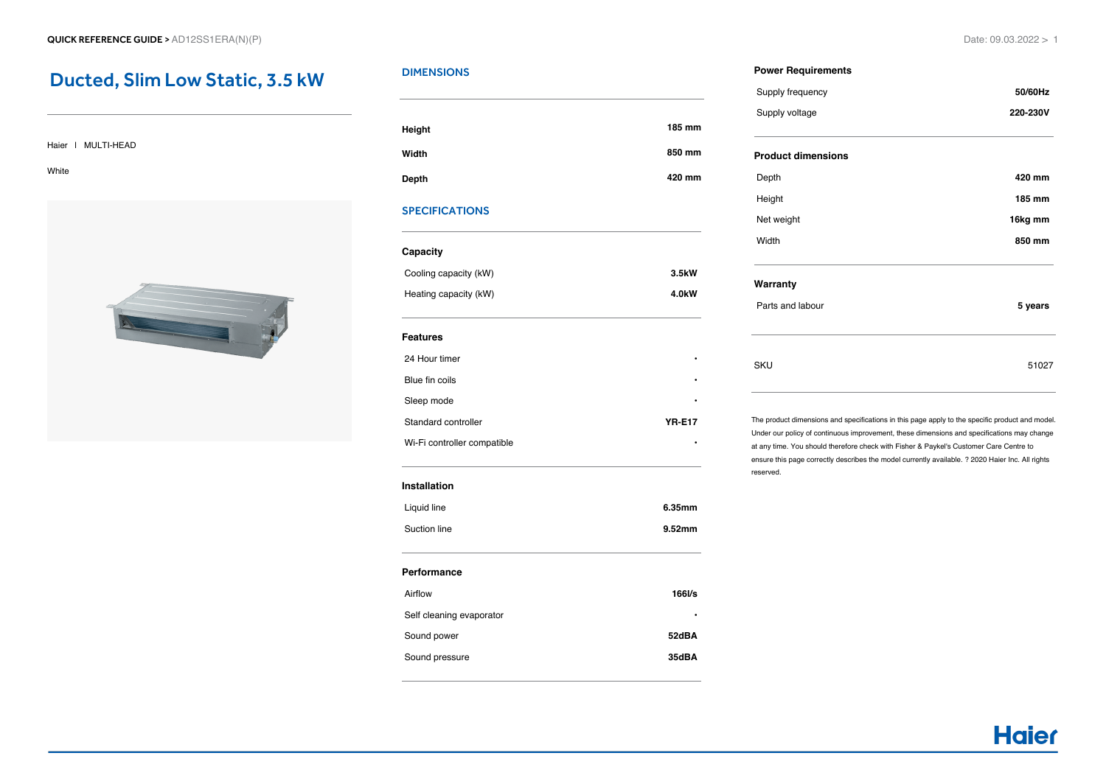## Ducted, Slim Low Static, 3.5 kW

#### Haier | MULTI-HEAD

White



## **DIMENSIONS**

| Height       | 185 mm |
|--------------|--------|
| Width        | 850 mm |
| <b>Depth</b> | 420 mm |

## SPECIFICATIONS

## **Capacity**

| Cooling capacity (kW) | 3.5kW |
|-----------------------|-------|
| Heating capacity (kW) | 4.0kW |

#### **Features**

| 24 Hour timer               | ٠             |
|-----------------------------|---------------|
| Blue fin coils              | ٠             |
| Sleep mode                  | ٠             |
| Standard controller         | <b>YR-E17</b> |
| Wi-Fi controller compatible | ٠             |

#### **Installation**

| Liquid line  | 6.35mm |
|--------------|--------|
| Suction line | 9.52mm |

#### **Performance**

| Airflow                  | 166 <sub>Vs</sub> |
|--------------------------|-------------------|
| Self cleaning evaporator | ٠                 |
| Sound power              | 52dBA             |
| Sound pressure           | 35dBA             |
|                          |                   |

#### **Power Requirements**

| Supply frequency          | 50/60Hz  |
|---------------------------|----------|
| Supply voltage            | 220-230V |
| <b>Product dimensions</b> |          |
| Depth                     | 420 mm   |
| Height                    | 185 mm   |
| Net weight                | 16kg mm  |
| Width                     | 850 mm   |
| Warranty                  |          |
| Parts and labour          | 5 years  |
|                           |          |
| SKU                       | 51027    |
|                           |          |

The product dimensions and specifications in this page apply to the specific product and model. Under our policy of continuous improvement, these dimensions and specifications may change at any time. You should therefore check with Fisher & Paykel's Customer Care Centre to ensure this page correctly describes the model currently available. ? 2020 Haier Inc. All rights reserved.